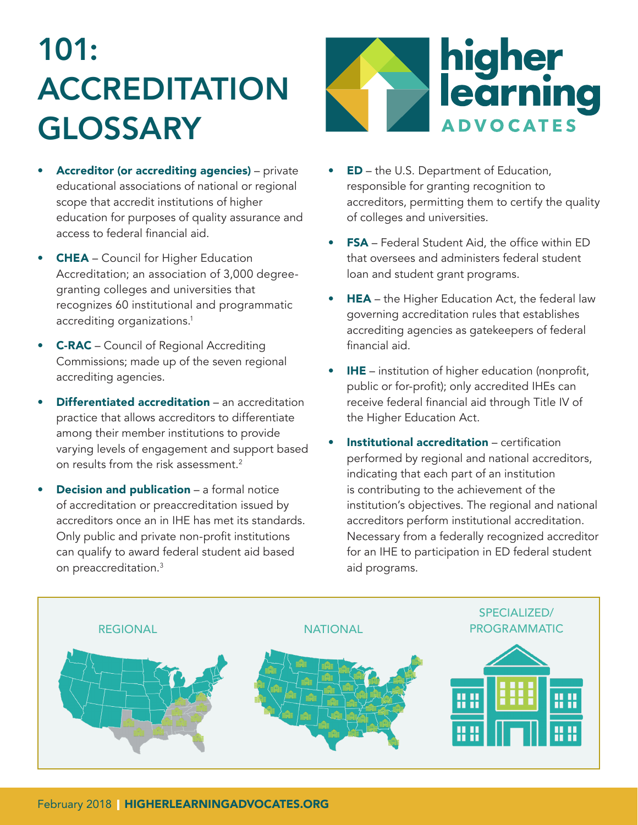## 101: ACCREDITATION GLOSSARY

- Accreditor (or accrediting agencies) private educational associations of national or regional scope that accredit institutions of higher education for purposes of quality assurance and access to federal financial aid.
- **CHEA** Council for Higher Education Accreditation; an association of 3,000 degreegranting colleges and universities that recognizes 60 institutional and programmatic accrediting organizations.<sup>1</sup>
- **C-RAC** Council of Regional Accrediting Commissions; made up of the seven regional accrediting agencies.
- **Differentiated accreditation an accreditation** practice that allows accreditors to differentiate among their member institutions to provide varying levels of engagement and support based on results from the risk assessment.<sup>2</sup>
- **Decision and publication** a formal notice of accreditation or preaccreditation issued by accreditors once an in IHE has met its standards. Only public and private non-profit institutions can qualify to award federal student aid based on preaccreditation.<sup>3</sup>



- **ED** the U.S. Department of Education, responsible for granting recognition to accreditors, permitting them to certify the quality of colleges and universities.
- **FSA** Federal Student Aid, the office within ED that oversees and administers federal student loan and student grant programs.
- **HEA** the Higher Education Act, the federal law governing accreditation rules that establishes accrediting agencies as gatekeepers of federal financial aid.
- **IHE** institution of higher education (nonprofit, public or for-profit); only accredited IHEs can receive federal financial aid through Title IV of the Higher Education Act.
- Institutional accreditation certification performed by regional and national accreditors, indicating that each part of an institution is contributing to the achievement of the institution's objectives. The regional and national accreditors perform institutional accreditation. Necessary from a federally recognized accreditor for an IHE to participation in ED federal student aid programs.